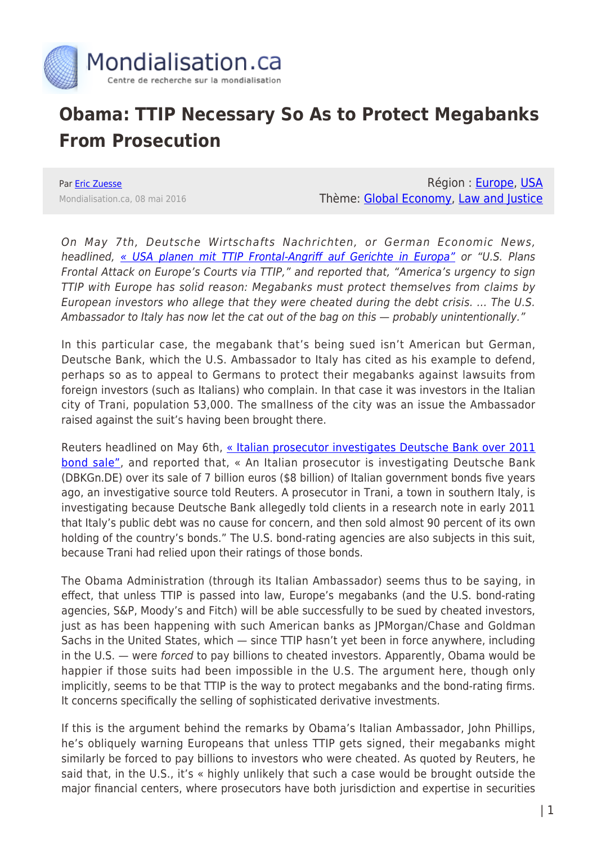

## **Obama: TTIP Necessary So As to Protect Megabanks From Prosecution**

Par [Eric Zuesse](https://www.mondialisation.ca/author/eric-zuesse) Mondialisation.ca, 08 mai 2016

Région : [Europe,](https://www.mondialisation.ca/region/europe) [USA](https://www.mondialisation.ca/region/usa) Thème: [Global Economy,](https://www.mondialisation.ca/theme/global-economy) [Law and Justice](https://www.mondialisation.ca/theme/law-and-justice)

On May 7th, Deutsche Wirtschafts Nachrichten, or German Economic News, headlined, [« USA planen mit TTIP Frontal-Angriff auf Gerichte in Europa"](http://deutsche-wirtschafts-nachrichten.de/2016/05/07/usa-planen-mit-ttip-frontal-angriff-auf-gerichte-in-europa/) or "U.S. Plans Frontal Attack on Europe's Courts via TTIP," and reported that, "America's urgency to sign TTIP with Europe has solid reason: Megabanks must protect themselves from claims by European investors who allege that they were cheated during the debt crisis. … The U.S. Ambassador to Italy has now let the cat out of the bag on this  $-$  probably unintentionally."

In this particular case, the megabank that's being sued isn't American but German, Deutsche Bank, which the U.S. Ambassador to Italy has cited as his example to defend, perhaps so as to appeal to Germans to protect their megabanks against lawsuits from foreign investors (such as Italians) who complain. In that case it was investors in the Italian city of Trani, population 53,000. The smallness of the city was an issue the Ambassador raised against the suit's having been brought there.

Reuters headlined on May 6th, [« Italian prosecutor investigates Deutsche Bank over 2011](http://uk.reuters.com/article/us-deutsche-bank-italy-probe-idUKKCN0XX0J5) [bond sale"](http://uk.reuters.com/article/us-deutsche-bank-italy-probe-idUKKCN0XX0J5), and reported that, « An Italian prosecutor is investigating Deutsche Bank (DBKGn.DE) over its sale of 7 billion euros (\$8 billion) of Italian government bonds five years ago, an investigative source told Reuters. A prosecutor in Trani, a town in southern Italy, is investigating because Deutsche Bank allegedly told clients in a research note in early 2011 that Italy's public debt was no cause for concern, and then sold almost 90 percent of its own holding of the country's bonds." The U.S. bond-rating agencies are also subjects in this suit, because Trani had relied upon their ratings of those bonds.

The Obama Administration (through its Italian Ambassador) seems thus to be saying, in effect, that unless TTIP is passed into law, Europe's megabanks (and the U.S. bond-rating agencies, S&P, Moody's and Fitch) will be able successfully to be sued by cheated investors, just as has been happening with such American banks as JPMorgan/Chase and Goldman Sachs in the United States, which — since TTIP hasn't yet been in force anywhere, including in the U.S. — were forced to pay billions to cheated investors. Apparently, Obama would be happier if those suits had been impossible in the U.S. The argument here, though only implicitly, seems to be that TTIP is the way to protect megabanks and the bond-rating firms. It concerns specifically the selling of sophisticated derivative investments.

If this is the argument behind the remarks by Obama's Italian Ambassador, John Phillips, he's obliquely warning Europeans that unless TTIP gets signed, their megabanks might similarly be forced to pay billions to investors who were cheated. As quoted by Reuters, he said that, in the U.S., it's « highly unlikely that such a case would be brought outside the major financial centers, where prosecutors have both jurisdiction and expertise in securities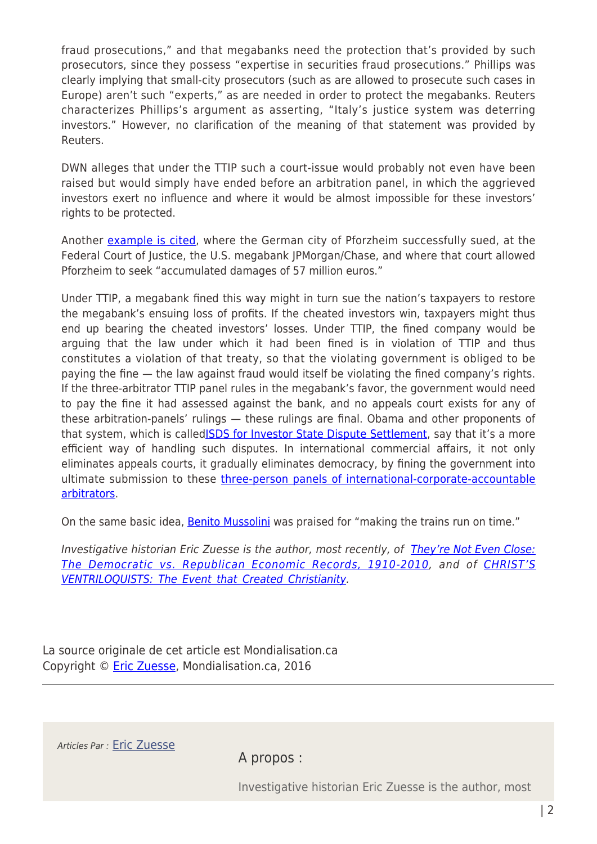fraud prosecutions," and that megabanks need the protection that's provided by such prosecutors, since they possess "expertise in securities fraud prosecutions." Phillips was clearly implying that small-city prosecutors (such as are allowed to prosecute such cases in Europe) aren't such "experts," as are needed in order to protect the megabanks. Reuters characterizes Phillips's argument as asserting, "Italy's justice system was deterring investors." However, no clarification of the meaning of that statement was provided by Reuters.

DWN alleges that under the TTIP such a court-issue would probably not even have been raised but would simply have ended before an arbitration panel, in which the aggrieved investors exert no influence and where it would be almost impossible for these investors' rights to be protected.

Another [example is cited](http://www.stuttgarter-zeitung.de/inhalt.interview-mit-pforzheimer-ob-wir-sind-nun-guten-mutes.b3bd7574-603d-403c-b563-00f233df6c25.html), where the German city of Pforzheim successfully sued, at the Federal Court of Justice, the U.S. megabank JPMorgan/Chase, and where that court allowed Pforzheim to seek "accumulated damages of 57 million euros."

Under TTIP, a megabank fined this way might in turn sue the nation's taxpayers to restore the megabank's ensuing loss of profits. If the cheated investors win, taxpayers might thus end up bearing the cheated investors' losses. Under TTIP, the fined company would be arguing that the law under which it had been fined is in violation of TTIP and thus constitutes a violation of that treaty, so that the violating government is obliged to be paying the fine — the law against fraud would itself be violating the fined company's rights. If the three-arbitrator TTIP panel rules in the megabank's favor, the government would need to pay the fine it had assessed against the bank, and no appeals court exists for any of these arbitration-panels' rulings — these rulings are final. Obama and other proponents of that system, which is calle[dISDS for Investor State Dispute Settlement](http://www.washingtonsblog.com/2015/06/how-obamas-trade-deals-are-designed-to-end-democracy.html), say that it's a more efficient way of handling such disputes. In international commercial affairs, it not only eliminates appeals courts, it gradually eliminates democracy, by fining the government into ultimate submission to these [three-person panels of international-corporate-accountable](http://www.washingtonsblog.com/2015/10/the-most-criminal-treaty-in-history-is-finally-presented-for-signing.html) [arbitrators.](http://www.washingtonsblog.com/2015/10/the-most-criminal-treaty-in-history-is-finally-presented-for-signing.html)

On the same basic idea, **Benito Mussolini** was praised for "making the trains run on time."

Investigative historian Eric Zuesse is the author, most recently, of [They're Not Even Close:](http://www.amazon.com/Theyre-Not-Even-Close-Democratic/dp/1880026090/ref=sr_1_9?ie=UTF8&qid=1339027537&sr=8-9) [The Democratic vs. Republican Economic Records, 1910-2010,](http://www.amazon.com/Theyre-Not-Even-Close-Democratic/dp/1880026090/ref=sr_1_9?ie=UTF8&qid=1339027537&sr=8-9) and of [CHRIST'S](http://www.amazon.com/dp/B007Q1H4EG) [VENTRILOQUISTS: The Event that Created Christianity](http://www.amazon.com/dp/B007Q1H4EG).

La source originale de cet article est Mondialisation.ca Copyright © [Eric Zuesse](https://www.mondialisation.ca/author/eric-zuesse), Mondialisation.ca, 2016

Articles Par : [Eric Zuesse](https://www.mondialisation.ca/author/eric-zuesse)

A propos :

Investigative historian Eric Zuesse is the author, most